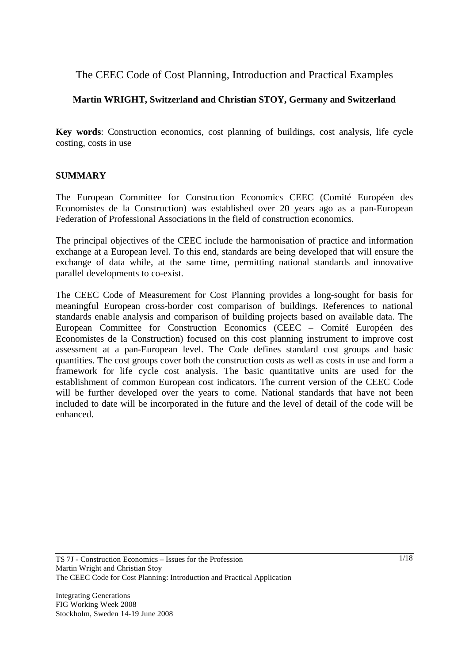# The CEEC Code of Cost Planning, Introduction and Practical Examples

## **Martin WRIGHT, Switzerland and Christian STOY, Germany and Switzerland**

**Key words**: Construction economics, cost planning of buildings, cost analysis, life cycle costing, costs in use

#### **SUMMARY**

The European Committee for Construction Economics CEEC (Comité Européen des Economistes de la Construction) was established over 20 years ago as a pan-European Federation of Professional Associations in the field of construction economics.

The principal objectives of the CEEC include the harmonisation of practice and information exchange at a European level. To this end, standards are being developed that will ensure the exchange of data while, at the same time, permitting national standards and innovative parallel developments to co-exist.

The CEEC Code of Measurement for Cost Planning provides a long-sought for basis for meaningful European cross-border cost comparison of buildings. References to national standards enable analysis and comparison of building projects based on available data. The European Committee for Construction Economics (CEEC – Comité Européen des Economistes de la Construction) focused on this cost planning instrument to improve cost assessment at a pan-European level. The Code defines standard cost groups and basic quantities. The cost groups cover both the construction costs as well as costs in use and form a framework for life cycle cost analysis. The basic quantitative units are used for the establishment of common European cost indicators. The current version of the CEEC Code will be further developed over the years to come. National standards that have not been included to date will be incorporated in the future and the level of detail of the code will be enhanced.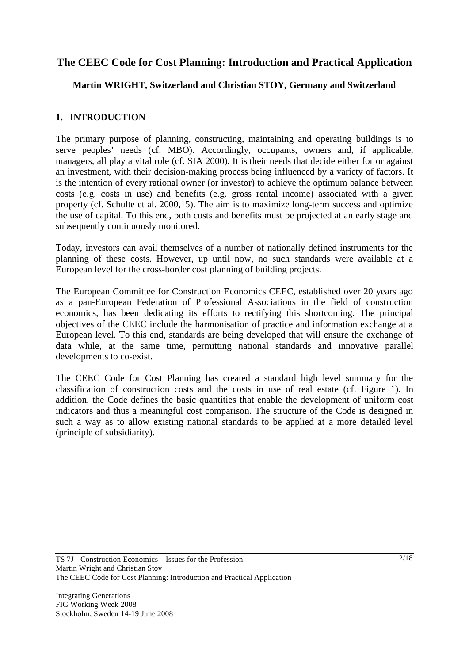# **The CEEC Code for Cost Planning: Introduction and Practical Application**

## **Martin WRIGHT, Switzerland and Christian STOY, Germany and Switzerland**

## **1. INTRODUCTION**

The primary purpose of planning, constructing, maintaining and operating buildings is to serve peoples' needs (cf. MBO). Accordingly, occupants, owners and, if applicable, managers, all play a vital role (cf. SIA 2000). It is their needs that decide either for or against an investment, with their decision-making process being influenced by a variety of factors. It is the intention of every rational owner (or investor) to achieve the optimum balance between costs (e.g. costs in use) and benefits (e.g. gross rental income) associated with a given property (cf. Schulte et al. 2000,15). The aim is to maximize long-term success and optimize the use of capital. To this end, both costs and benefits must be projected at an early stage and subsequently continuously monitored.

Today, investors can avail themselves of a number of nationally defined instruments for the planning of these costs. However, up until now, no such standards were available at a European level for the cross-border cost planning of building projects.

The European Committee for Construction Economics CEEC, established over 20 years ago as a pan-European Federation of Professional Associations in the field of construction economics, has been dedicating its efforts to rectifying this shortcoming. The principal objectives of the CEEC include the harmonisation of practice and information exchange at a European level. To this end, standards are being developed that will ensure the exchange of data while, at the same time, permitting national standards and innovative parallel developments to co-exist.

The CEEC Code for Cost Planning has created a standard high level summary for the classification of construction costs and the costs in use of real estate (cf. Figure 1). In addition, the Code defines the basic quantities that enable the development of uniform cost indicators and thus a meaningful cost comparison. The structure of the Code is designed in such a way as to allow existing national standards to be applied at a more detailed level (principle of subsidiarity).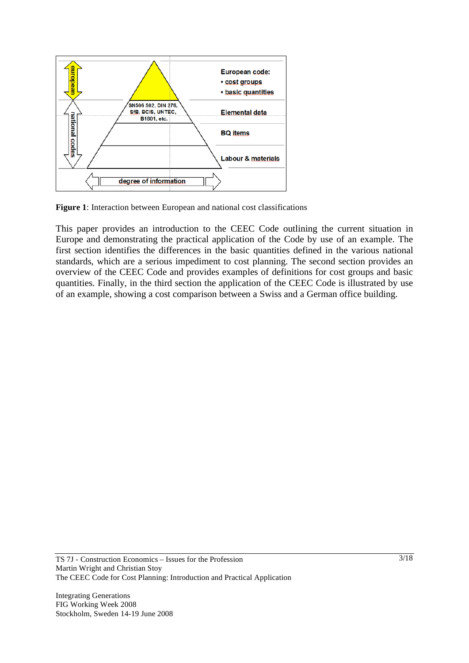

**Figure 1**: Interaction between European and national cost classifications

This paper provides an introduction to the CEEC Code outlining the current situation in Europe and demonstrating the practical application of the Code by use of an example. The first section identifies the differences in the basic quantities defined in the various national standards, which are a serious impediment to cost planning. The second section provides an overview of the CEEC Code and provides examples of definitions for cost groups and basic quantities. Finally, in the third section the application of the CEEC Code is illustrated by use of an example, showing a cost comparison between a Swiss and a German office building.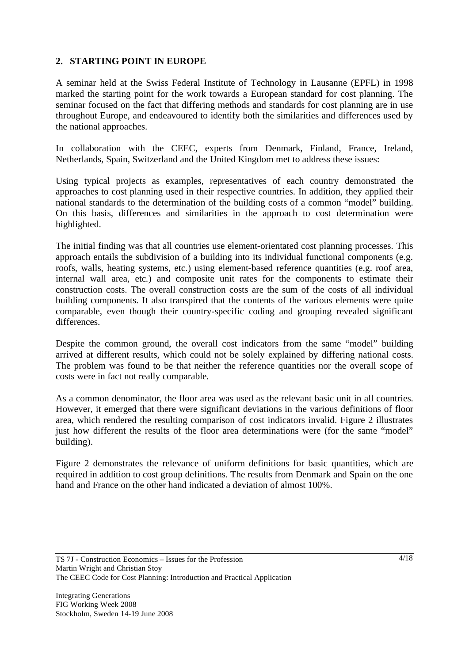## **2. STARTING POINT IN EUROPE**

A seminar held at the Swiss Federal Institute of Technology in Lausanne (EPFL) in 1998 marked the starting point for the work towards a European standard for cost planning. The seminar focused on the fact that differing methods and standards for cost planning are in use throughout Europe, and endeavoured to identify both the similarities and differences used by the national approaches.

In collaboration with the CEEC, experts from Denmark, Finland, France, Ireland, Netherlands, Spain, Switzerland and the United Kingdom met to address these issues:

Using typical projects as examples, representatives of each country demonstrated the approaches to cost planning used in their respective countries. In addition, they applied their national standards to the determination of the building costs of a common "model" building. On this basis, differences and similarities in the approach to cost determination were highlighted.

The initial finding was that all countries use element-orientated cost planning processes. This approach entails the subdivision of a building into its individual functional components (e.g. roofs, walls, heating systems, etc.) using element-based reference quantities (e.g. roof area, internal wall area, etc.) and composite unit rates for the components to estimate their construction costs. The overall construction costs are the sum of the costs of all individual building components. It also transpired that the contents of the various elements were quite comparable, even though their country-specific coding and grouping revealed significant differences.

Despite the common ground, the overall cost indicators from the same "model" building arrived at different results, which could not be solely explained by differing national costs. The problem was found to be that neither the reference quantities nor the overall scope of costs were in fact not really comparable.

As a common denominator, the floor area was used as the relevant basic unit in all countries. However, it emerged that there were significant deviations in the various definitions of floor area, which rendered the resulting comparison of cost indicators invalid. Figure 2 illustrates just how different the results of the floor area determinations were (for the same "model" building).

Figure 2 demonstrates the relevance of uniform definitions for basic quantities, which are required in addition to cost group definitions. The results from Denmark and Spain on the one hand and France on the other hand indicated a deviation of almost 100%.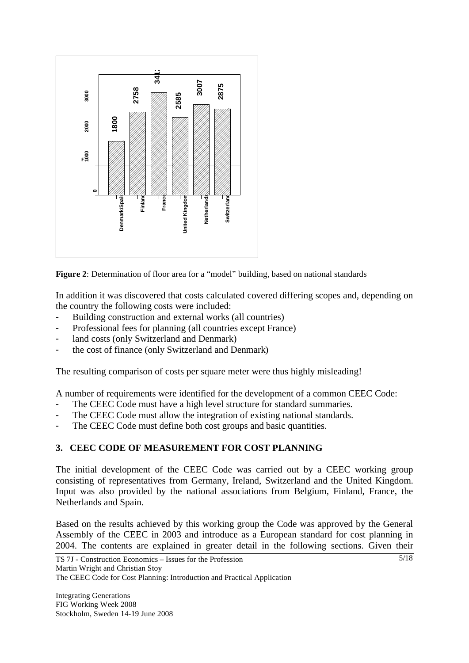

**Figure 2**: Determination of floor area for a "model" building, based on national standards

In addition it was discovered that costs calculated covered differing scopes and, depending on the country the following costs were included:

- Building construction and external works (all countries)
- Professional fees for planning (all countries except France)
- land costs (only Switzerland and Denmark)
- the cost of finance (only Switzerland and Denmark)

The resulting comparison of costs per square meter were thus highly misleading!

A number of requirements were identified for the development of a common CEEC Code:

- The CEEC Code must have a high level structure for standard summaries.
- The CEEC Code must allow the integration of existing national standards.
- The CEEC Code must define both cost groups and basic quantities.

#### **3. CEEC CODE OF MEASUREMENT FOR COST PLANNING**

The initial development of the CEEC Code was carried out by a CEEC working group consisting of representatives from Germany, Ireland, Switzerland and the United Kingdom. Input was also provided by the national associations from Belgium, Finland, France, the Netherlands and Spain.

Based on the results achieved by this working group the Code was approved by the General Assembly of the CEEC in 2003 and introduce as a European standard for cost planning in 2004. The contents are explained in greater detail in the following sections. Given their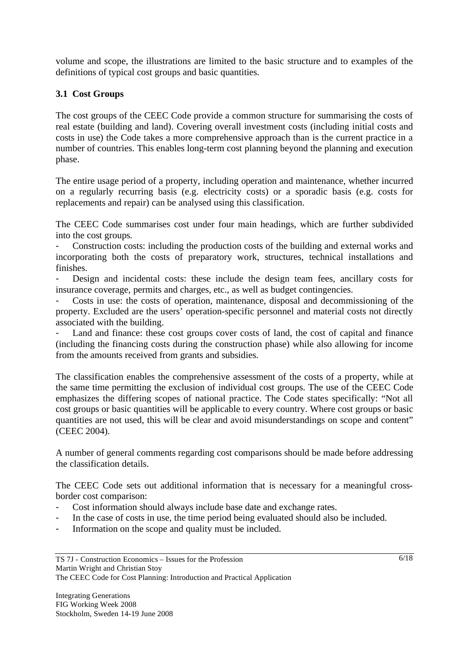volume and scope, the illustrations are limited to the basic structure and to examples of the definitions of typical cost groups and basic quantities.

## **3.1 Cost Groups**

The cost groups of the CEEC Code provide a common structure for summarising the costs of real estate (building and land). Covering overall investment costs (including initial costs and costs in use) the Code takes a more comprehensive approach than is the current practice in a number of countries. This enables long-term cost planning beyond the planning and execution phase.

The entire usage period of a property, including operation and maintenance, whether incurred on a regularly recurring basis (e.g. electricity costs) or a sporadic basis (e.g. costs for replacements and repair) can be analysed using this classification.

The CEEC Code summarises cost under four main headings, which are further subdivided into the cost groups.

- Construction costs: including the production costs of the building and external works and incorporating both the costs of preparatory work, structures, technical installations and finishes.

Design and incidental costs: these include the design team fees, ancillary costs for insurance coverage, permits and charges, etc., as well as budget contingencies.

Costs in use: the costs of operation, maintenance, disposal and decommissioning of the property. Excluded are the users' operation-specific personnel and material costs not directly associated with the building.

Land and finance: these cost groups cover costs of land, the cost of capital and finance (including the financing costs during the construction phase) while also allowing for income from the amounts received from grants and subsidies.

The classification enables the comprehensive assessment of the costs of a property, while at the same time permitting the exclusion of individual cost groups. The use of the CEEC Code emphasizes the differing scopes of national practice. The Code states specifically: "Not all cost groups or basic quantities will be applicable to every country. Where cost groups or basic quantities are not used, this will be clear and avoid misunderstandings on scope and content" (CEEC 2004).

A number of general comments regarding cost comparisons should be made before addressing the classification details.

The CEEC Code sets out additional information that is necessary for a meaningful crossborder cost comparison:

- Cost information should always include base date and exchange rates.
- In the case of costs in use, the time period being evaluated should also be included.
- Information on the scope and quality must be included.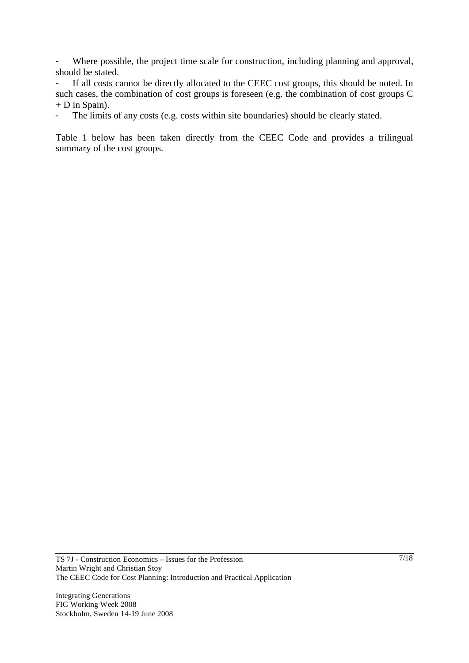- Where possible, the project time scale for construction, including planning and approval, should be stated.

If all costs cannot be directly allocated to the CEEC cost groups, this should be noted. In such cases, the combination of cost groups is foreseen (e.g. the combination of cost groups C + D in Spain).

The limits of any costs (e.g. costs within site boundaries) should be clearly stated.

Table 1 below has been taken directly from the CEEC Code and provides a trilingual summary of the cost groups.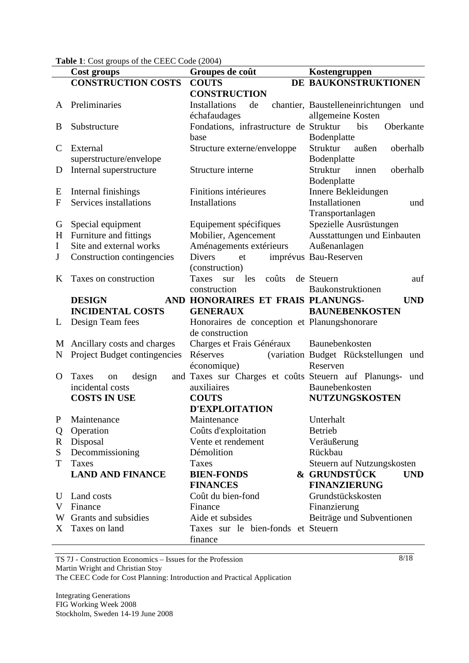**Table 1**: Cost groups of the CEEC Code (2004)

|                     | Cost groups                  | Groupes de coût                                      | Kostengruppen                                    |  |  |
|---------------------|------------------------------|------------------------------------------------------|--------------------------------------------------|--|--|
|                     | <b>CONSTRUCTION COSTS</b>    | <b>COUTS</b>                                         | DE BAUKONSTRUKTIONEN                             |  |  |
|                     |                              | <b>CONSTRUCTION</b>                                  |                                                  |  |  |
| A                   | Preliminaries                | Installations<br>de                                  | chantier, Baustelleneinrichtungen<br>und         |  |  |
|                     |                              | échafaudages                                         | allgemeine Kosten                                |  |  |
| B                   | Substructure                 | Fondations, infrastructure de Struktur               | bis<br>Oberkante                                 |  |  |
|                     |                              | base                                                 | Bodenplatte                                      |  |  |
| $\mathcal{C}$       | External                     | Structure externe/enveloppe                          | Struktur<br>außen<br>oberhalb                    |  |  |
|                     | superstructure/envelope      |                                                      | Bodenplatte                                      |  |  |
| D                   | Internal superstructure      | Structure interne                                    | Struktur<br>oberhalb<br>innen                    |  |  |
|                     |                              |                                                      | Bodenplatte                                      |  |  |
| E                   | Internal finishings          | Finitions intérieures                                | Innere Bekleidungen                              |  |  |
| $\mathbf{F}$        | Services installations       | Installations                                        | Installationen<br>und                            |  |  |
|                     |                              |                                                      | Transportanlagen                                 |  |  |
| G                   | Special equipment            | Equipement spécifiques                               | Spezielle Ausrüstungen                           |  |  |
| H                   | Furniture and fittings       | Mobilier, Agencement                                 | Ausstattungen und Einbauten                      |  |  |
| $\bf{I}$            | Site and external works      | Aménagements extérieurs                              | Außenanlagen                                     |  |  |
| J                   | Construction contingencies   | <b>Divers</b><br>et                                  | imprévus Bau-Reserven                            |  |  |
|                     |                              | (construction)                                       |                                                  |  |  |
| K                   | Taxes on construction        | Taxes<br>les<br>coûts<br>sur                         | de Steuern<br>auf                                |  |  |
|                     |                              | construction                                         | Baukonstruktionen                                |  |  |
|                     | <b>DESIGN</b>                | AND HONORAIRES ET FRAIS PLANUNGS-                    | <b>UND</b>                                       |  |  |
|                     | <b>INCIDENTAL COSTS</b>      | <b>GENERAUX</b>                                      | <b>BAUNEBENKOSTEN</b>                            |  |  |
| L                   | Design Team fees             | Honoraires de conception et Planungshonorare         |                                                  |  |  |
|                     |                              | de construction                                      |                                                  |  |  |
| M                   | Ancillary costs and charges  | Charges et Frais Généraux                            | Baunebenkosten                                   |  |  |
| N                   | Project Budget contingencies | Réserves<br>économique)                              | (variation Budget Rückstellungen und<br>Reserven |  |  |
| O                   | design<br>Taxes<br>on        | and Taxes sur Charges et coûts Steuern auf Planungs- | und                                              |  |  |
|                     | incidental costs             | auxiliaires                                          | Baunebenkosten                                   |  |  |
| <b>COSTS IN USE</b> |                              | <b>COUTS</b>                                         | <b>NUTZUNGSKOSTEN</b>                            |  |  |
|                     |                              | <b>D'EXPLOITATION</b>                                |                                                  |  |  |
| P                   | Maintenance                  | Maintenance                                          | Unterhalt                                        |  |  |
| Q                   | Operation                    | Coûts d'exploitation                                 | <b>Betrieb</b>                                   |  |  |
| R                   | Disposal                     | Vente et rendement                                   | Veräußerung                                      |  |  |
| S                   | Decommissioning              | Démolition                                           | Rückbau                                          |  |  |
| T                   | Taxes                        | Taxes                                                | Steuern auf Nutzungskosten                       |  |  |
|                     | <b>LAND AND FINANCE</b>      | <b>BIEN-FONDS</b>                                    | & GRUNDSTÜCK<br><b>UND</b>                       |  |  |
|                     |                              | <b>FINANCES</b>                                      | <b>FINANZIERUNG</b>                              |  |  |
| U                   | Land costs                   | Coût du bien-fond                                    | Grundstückskosten                                |  |  |
| V                   | Finance                      | Finance                                              | Finanzierung                                     |  |  |
|                     | W Grants and subsidies       | Aide et subsides                                     | Beiträge und Subventionen                        |  |  |
| X                   | Taxes on land                | Taxes sur le bien-fonds et Steuern<br>finance        |                                                  |  |  |

TS 7J - Construction Economics – Issues for the Profession Martin Wright and Christian Stoy The CEEC Code for Cost Planning: Introduction and Practical Application

Integrating Generations FIG Working Week 2008 Stockholm, Sweden 14-19 June 2008 8/18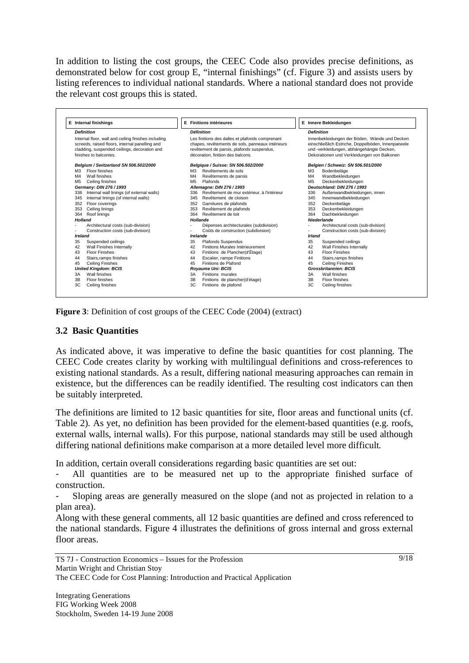In addition to listing the cost groups, the CEEC Code also provides precise definitions, as demonstrated below for cost group E, "internal finishings" (cf. Figure 3) and assists users by listing references to individual national standards. Where a national standard does not provide the relevant cost groups this is stated.

|                | E Internal finishings                               |                | <b>E</b> Finitions intérieures                   |        |                | E Innere Bekleidungen                              |
|----------------|-----------------------------------------------------|----------------|--------------------------------------------------|--------|----------------|----------------------------------------------------|
|                | <b>Definition</b>                                   |                | <b>Définition</b>                                |        |                | <b>Definition</b>                                  |
|                | Internal floor, wall and ceiling finishes including |                | Les finitions des dalles et plafonds comprenant  |        |                | Innenbekleidungen der Böden, Wände und Decken      |
|                | screeds, raised floors, internal panelling and      |                | chapes, revêtements de sols, panneaux intérieurs |        |                | einschließlich Estriche, Doppelböden, Innenpaneele |
|                | cladding, suspended ceilings, decoration and        |                | revêtement de parois, plafonds suspendus,        |        |                | und -verkleidungen, abhängehängte Decken,          |
|                | finishes to balconies.                              |                | décoration, finition des balcons.                |        |                | Dekorationen und Verkleidungen von Balkonen        |
|                | Belgium / Switzerland SN 506.502/2000               |                | Belgique / Suisse: SN 506.502/2000               |        |                | Belaien / Schweiz: SN 506.501/2000                 |
| M <sub>3</sub> | Floor finishes                                      | M <sub>3</sub> | Revêtements de sols                              |        | M <sub>3</sub> | Bodenbeläge                                        |
| M4             | Wall finishes                                       | M4             | Revêtements de parois                            |        | M <sub>4</sub> | Wandbekleidungen                                   |
| M <sub>5</sub> | Ceiling finishes                                    | M <sub>5</sub> | Plafonds                                         |        | M <sub>5</sub> | Deckenbekleidungen                                 |
|                | Germany: DIN 276 / 1993                             |                | Allemagne: DIN 276 / 1993                        |        |                | Deutschland: DIN 276 / 1993                        |
| 336            | Internal wall linings (of external walls)           | 336            | Revêtement de mur extérieur, à l'intérieur       |        | 336            | Außenwandbekleidungen, innen                       |
| 345            | Internal linings (of internal walls)                | 345            | Revêtement de cloison                            |        | 345            | Innenwandbekleidungen                              |
| 352            | Floor coverings                                     | 352            | Garnitures de plafonds                           |        | 352            | Deckenbeläge                                       |
| 353            | Ceiling linings                                     | 353            | Revêtement de plafonds                           |        | 353            | Deckenbekleidungen                                 |
| 364            | Roof linings                                        | 364            | Revêtement de toit                               |        | 364            | Dachbekleidungen                                   |
| <b>Holland</b> |                                                     |                | Hollande                                         |        |                | <b>Niederlande</b>                                 |
|                | Architectural costs (sub-division)                  |                | Dépenses architecturales (subdivision)           |        |                | Architectural costs (sub-division)                 |
|                | Construction costs (sub-division)                   |                | Coûts de construction (subdivision)              |        |                | Construction costs (sub-division)                  |
| Ireland        |                                                     | Irelande       |                                                  | Irland |                |                                                    |
| 35             | Suspended ceilings                                  | 35             | Plafonds Suspendus                               |        | 35             | Suspended ceilings                                 |
| 42             | Wall Finishes Internally                            | 42             | Finitions Murales Intérieurement                 |        | 42             | Wall Finishes Internally                           |
| 43             | <b>Floor Finishes</b>                               | 43             | Finitions de Plancher(d'Étage)                   |        | 43             | <b>Floor Finishes</b>                              |
| 44             | Stairs, ramps finishes                              | 44             | Escalier, rampe Finitions                        |        | 44             | Stairs, ramps finishes                             |
| 45             | <b>Ceiling Finishes</b>                             | 45             | Finitions de Plafond                             |        | 45             | <b>Ceiling Finishes</b>                            |
|                | <b>United Kingdom: BCIS</b>                         |                | <b>Royaume Uni: BCIS</b>                         |        |                | <b>Grossbritannien: BCIS</b>                       |
| 3A             | Wall finishes                                       | 3A             | Finitions murales                                |        | 3A             | Wall finishes                                      |
| 3B             | Floor finishes                                      | 3B             | Finitions de plancher(d'étage)                   |        | 3B             | Floor finishes                                     |
| 3C             | Ceiling finishes                                    | 3C             | Finitions de plafond                             |        | 3C             | Ceiling finishes                                   |

**Figure 3**: Definition of cost groups of the CEEC Code (2004) (extract)

#### **3.2 Basic Quantities**

As indicated above, it was imperative to define the basic quantities for cost planning. The CEEC Code creates clarity by working with multilingual definitions and cross-references to existing national standards. As a result, differing national measuring approaches can remain in existence, but the differences can be readily identified. The resulting cost indicators can then be suitably interpreted.

The definitions are limited to 12 basic quantities for site, floor areas and functional units (cf. Table 2). As yet, no definition has been provided for the element-based quantities (e.g. roofs, external walls, internal walls). For this purpose, national standards may still be used although differing national definitions make comparison at a more detailed level more difficult.

In addition, certain overall considerations regarding basic quantities are set out:

All quantities are to be measured net up to the appropriate finished surface of construction.

- Sloping areas are generally measured on the slope (and not as projected in relation to a plan area).

Along with these general comments, all 12 basic quantities are defined and cross referenced to the national standards. Figure 4 illustrates the definitions of gross internal and gross external floor areas.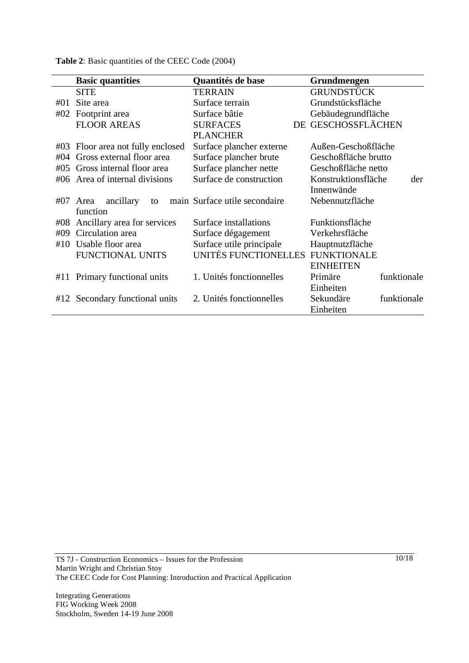|     | <b>Basic quantities</b>       | Quantités de base             | Grundmengen                |
|-----|-------------------------------|-------------------------------|----------------------------|
|     | <b>SITE</b>                   | <b>TERRAIN</b>                | GRUNDSTÜCK                 |
| #01 | Site area                     | Surface terrain               | Grundstücksfläche          |
| #02 | Footprint area                | Surface bâtie                 | Gebäudegrundfläche         |
|     | <b>FLOOR AREAS</b>            | <b>SURFACES</b>               | DE GESCHOSSFLÄCHEN         |
|     |                               | <b>PLANCHER</b>               |                            |
| #03 | Floor area not fully enclosed | Surface plancher externe      | Außen-Geschoßfläche        |
| #04 | Gross external floor area     | Surface plancher brute        | Geschoßfläche brutto       |
| #05 | Gross internal floor area     | Surface plancher nette        | Geschoßfläche netto        |
| #06 | Area of internal divisions    | Surface de construction       | Konstruktionsfläche<br>der |
|     |                               |                               | Innenwände                 |
| #07 | ancillary<br>Area<br>to       | main Surface utile secondaire | Nebennutzfläche            |
|     | function                      |                               |                            |
| #08 | Ancillary area for services   | Surface installations         | Funktionsfläche            |
| #09 | Circulation area              | Surface dégagement            | Verkehrsfläche             |
| #10 | Usable floor area             | Surface utile principale      | Hauptnutzfläche            |
|     | <b>FUNCTIONAL UNITS</b>       | UNITÉS FUNCTIONELLES          | <b>FUNKTIONALE</b>         |
|     |                               |                               | <b>EINHEITEN</b>           |
|     | #11 Primary functional units  | 1. Unités fonctionnelles      | Primäre<br>funktionale     |
|     |                               |                               | Einheiten                  |
| #12 | Secondary functional units    | 2. Unités fonctionnelles      | funktionale<br>Sekundäre   |
|     |                               |                               | Einheiten                  |

**Table 2**: Basic quantities of the CEEC Code (2004)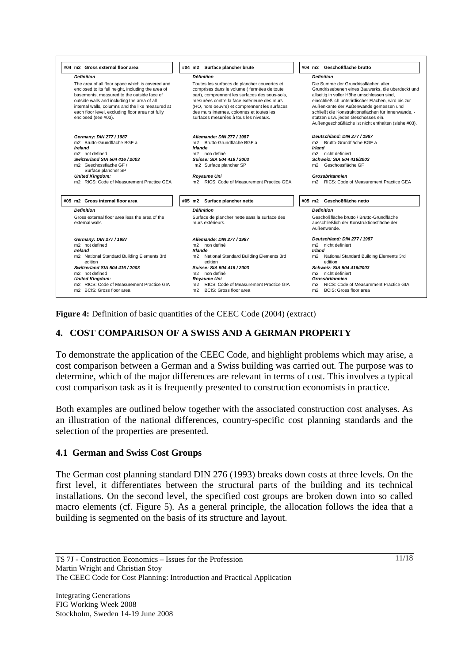

**Figure 4:** Definition of basic quantities of the CEEC Code (2004) (extract)

## **4. COST COMPARISON OF A SWISS AND A GERMAN PROPERTY**

To demonstrate the application of the CEEC Code, and highlight problems which may arise, a cost comparison between a German and a Swiss building was carried out. The purpose was to determine, which of the major differences are relevant in terms of cost. This involves a typical cost comparison task as it is frequently presented to construction economists in practice.

Both examples are outlined below together with the associated construction cost analyses. As an illustration of the national differences, country-specific cost planning standards and the selection of the properties are presented.

#### **4.1 German and Swiss Cost Groups**

The German cost planning standard DIN 276 (1993) breaks down costs at three levels. On the first level, it differentiates between the structural parts of the building and its technical installations. On the second level, the specified cost groups are broken down into so called macro elements (cf. Figure 5). As a general principle, the allocation follows the idea that a building is segmented on the basis of its structure and layout.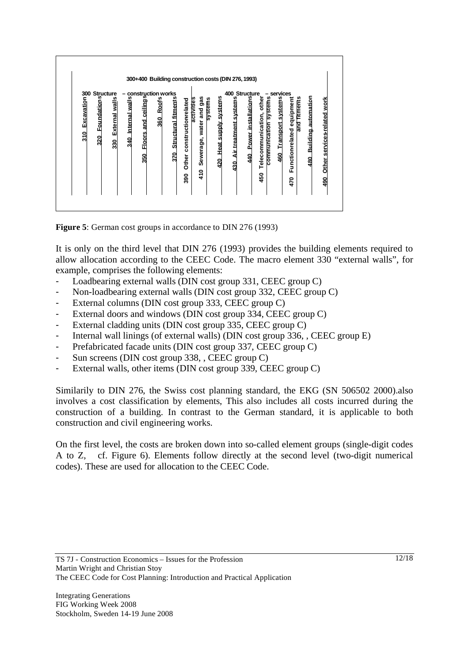

**Figure 5**: German cost groups in accordance to DIN 276 (1993)

It is only on the third level that DIN 276 (1993) provides the building elements required to allow allocation according to the CEEC Code. The macro element 330 "external walls", for example, comprises the following elements:

- Loadbearing external walls (DIN cost group 331, CEEC group C)
- Non-loadbearing external walls (DIN cost group 332, CEEC group C)
- External columns (DIN cost group 333, CEEC group C)
- External doors and windows (DIN cost group 334, CEEC group C)
- External cladding units (DIN cost group 335, CEEC group C)
- Internal wall linings (of external walls) (DIN cost group 336, , CEEC group E)
- Prefabricated facade units (DIN cost group 337, CEEC group C)
- Sun screens (DIN cost group 338, , CEEC group C)
- External walls, other items (DIN cost group 339, CEEC group C)

Similarily to DIN 276, the Swiss cost planning standard, the EKG (SN 506502 2000).also involves a cost classification by elements, This also includes all costs incurred during the construction of a building. In contrast to the German standard, it is applicable to both construction and civil engineering works.

On the first level, the costs are broken down into so-called element groups (single-digit codes A to Z, cf. Figure 6). Elements follow directly at the second level (two-digit numerical codes). These are used for allocation to the CEEC Code.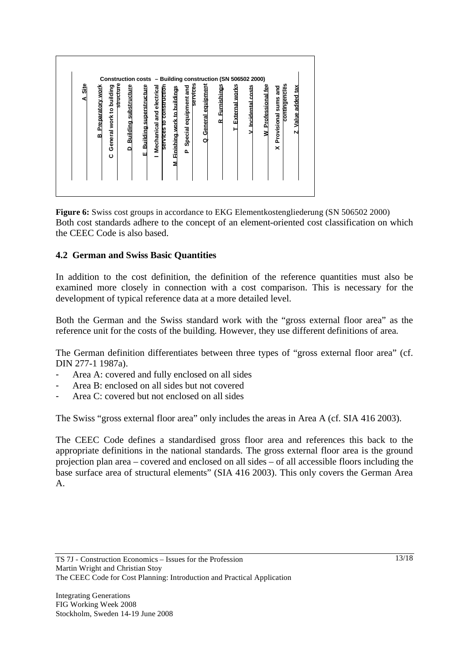

**Figure 6:** Swiss cost groups in accordance to EKG Elementkostengliederung (SN 506502 2000) Both cost standards adhere to the concept of an element-oriented cost classification on which the CEEC Code is also based.

## **4.2 German and Swiss Basic Quantities**

In addition to the cost definition, the definition of the reference quantities must also be examined more closely in connection with a cost comparison. This is necessary for the development of typical reference data at a more detailed level.

Both the German and the Swiss standard work with the "gross external floor area" as the reference unit for the costs of the building. However, they use different definitions of area.

The German definition differentiates between three types of "gross external floor area" (cf. DIN 277-1 1987a).

- Area A: covered and fully enclosed on all sides
- Area B: enclosed on all sides but not covered
- Area C: covered but not enclosed on all sides

The Swiss "gross external floor area" only includes the areas in Area A (cf. SIA 416 2003).

The CEEC Code defines a standardised gross floor area and references this back to the appropriate definitions in the national standards. The gross external floor area is the ground projection plan area – covered and enclosed on all sides – of all accessible floors including the base surface area of structural elements" (SIA 416 2003). This only covers the German Area A.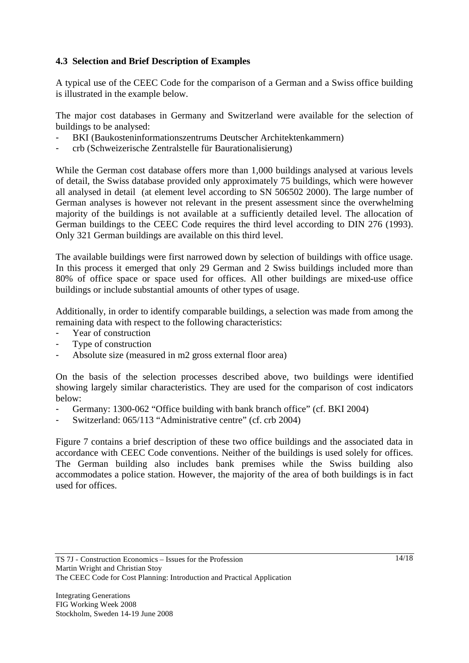## **4.3 Selection and Brief Description of Examples**

A typical use of the CEEC Code for the comparison of a German and a Swiss office building is illustrated in the example below.

The major cost databases in Germany and Switzerland were available for the selection of buildings to be analysed:

- BKI (Baukosteninformationszentrums Deutscher Architektenkammern)
- crb (Schweizerische Zentralstelle für Baurationalisierung)

While the German cost database offers more than 1,000 buildings analysed at various levels of detail, the Swiss database provided only approximately 75 buildings, which were however all analysed in detail (at element level according to SN 506502 2000). The large number of German analyses is however not relevant in the present assessment since the overwhelming majority of the buildings is not available at a sufficiently detailed level. The allocation of German buildings to the CEEC Code requires the third level according to DIN 276 (1993). Only 321 German buildings are available on this third level.

The available buildings were first narrowed down by selection of buildings with office usage. In this process it emerged that only 29 German and 2 Swiss buildings included more than 80% of office space or space used for offices. All other buildings are mixed-use office buildings or include substantial amounts of other types of usage.

Additionally, in order to identify comparable buildings, a selection was made from among the remaining data with respect to the following characteristics:

- Year of construction
- Type of construction
- Absolute size (measured in m2 gross external floor area)

On the basis of the selection processes described above, two buildings were identified showing largely similar characteristics. They are used for the comparison of cost indicators below:

- Germany: 1300-062 "Office building with bank branch office" (cf. BKI 2004)
- Switzerland: 065/113 "Administrative centre" (cf. crb 2004)

Figure 7 contains a brief description of these two office buildings and the associated data in accordance with CEEC Code conventions. Neither of the buildings is used solely for offices. The German building also includes bank premises while the Swiss building also accommodates a police station. However, the majority of the area of both buildings is in fact used for offices.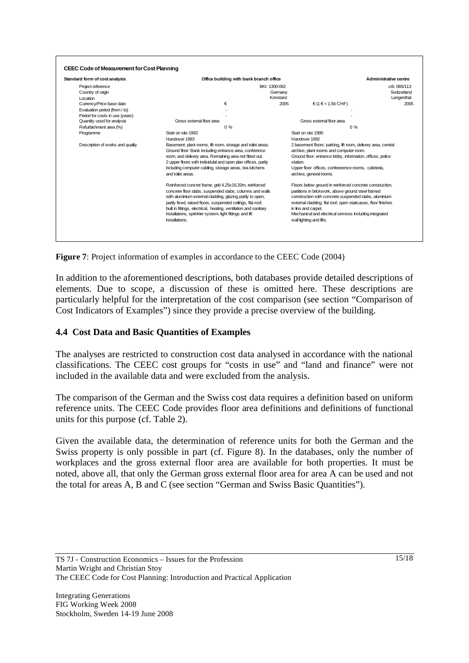| Standard form of cost analysis   |                                                                                                                                                                                                                                                                                                                                                                                                  | Office building with bank branch office |                                                                                                                                                                                                                                                                                                                                                        | Administrative centre |  |
|----------------------------------|--------------------------------------------------------------------------------------------------------------------------------------------------------------------------------------------------------------------------------------------------------------------------------------------------------------------------------------------------------------------------------------------------|-----------------------------------------|--------------------------------------------------------------------------------------------------------------------------------------------------------------------------------------------------------------------------------------------------------------------------------------------------------------------------------------------------------|-----------------------|--|
| Project reference                |                                                                                                                                                                                                                                                                                                                                                                                                  | BKI: 1300-062                           |                                                                                                                                                                                                                                                                                                                                                        | crb: 065/113          |  |
| Country of origin                |                                                                                                                                                                                                                                                                                                                                                                                                  | Germany                                 |                                                                                                                                                                                                                                                                                                                                                        | Switzerland           |  |
| Location                         |                                                                                                                                                                                                                                                                                                                                                                                                  | Konstanz                                |                                                                                                                                                                                                                                                                                                                                                        | Langenthal            |  |
| Currency/Price base date         | €                                                                                                                                                                                                                                                                                                                                                                                                | 2005                                    | $f \in (1 \in 1.56$ CHF)                                                                                                                                                                                                                                                                                                                               | 2005                  |  |
| Evaluation period (from / to)    |                                                                                                                                                                                                                                                                                                                                                                                                  |                                         |                                                                                                                                                                                                                                                                                                                                                        |                       |  |
| Period for costs in use (years)  |                                                                                                                                                                                                                                                                                                                                                                                                  |                                         |                                                                                                                                                                                                                                                                                                                                                        |                       |  |
| Quantity used for analysis       | Gross external floor area                                                                                                                                                                                                                                                                                                                                                                        |                                         | Gross external floor area                                                                                                                                                                                                                                                                                                                              |                       |  |
| Refurbishment area (%)           | 0%                                                                                                                                                                                                                                                                                                                                                                                               |                                         | 0%                                                                                                                                                                                                                                                                                                                                                     |                       |  |
| Programme                        | Start on site 1992                                                                                                                                                                                                                                                                                                                                                                               |                                         | Start on site 1990                                                                                                                                                                                                                                                                                                                                     |                       |  |
|                                  | Handover 1993                                                                                                                                                                                                                                                                                                                                                                                    |                                         | Handover 1992                                                                                                                                                                                                                                                                                                                                          |                       |  |
| Description of works and quality | Basement: plant rooms, lift room, storage and toilet areas.<br>Ground floor: Bank including entrance area, conference<br>room, and delivery area. Remaining area not fitted out.<br>2 upper floors with individulal and open plan offices, partly<br>station.<br>including computer cabling, storage areas, tea kitchens<br>and toilet areas.<br>archive, general rooms.                         |                                         | 2 basement floors: parking, lift room, delivery area, central<br>archive, plant rooms and computer room.<br>Ground floor: entrance lobby, information, offices, police<br>Upper floor: offices, confererence rooms, cafeteria,                                                                                                                         |                       |  |
|                                  | Reinforced concret frame, grid 4.25x16.20m, reinforced<br>concrete floor slabs, suspended slabs, columns and walls<br>with aluminium external cladding, glazing partly to open,<br>partly fixed, raised floors, suspended ceilings, flat roof,<br>built in fittings, electrical, heating, ventilation and sanitary<br>installations, sprinkler system, light fittings and lift<br>installations. |                                         | Floors below ground in reinforced concrete construction,<br>partitions in brickwork, above ground steel framed<br>construction with concrete suspended slabs, aluminium<br>external cladding, flat roof, open staircases, floor finishes<br>in lino and carpet.<br>Mechanical and electrical services including integrated<br>wall lighting and lifts. |                       |  |

**Figure 7**: Project information of examples in accordance to the CEEC Code (2004)

In addition to the aforementioned descriptions, both databases provide detailed descriptions of elements. Due to scope, a discussion of these is omitted here. These descriptions are particularly helpful for the interpretation of the cost comparison (see section "Comparison of Cost Indicators of Examples") since they provide a precise overview of the building.

## **4.4 Cost Data and Basic Quantities of Examples**

The analyses are restricted to construction cost data analysed in accordance with the national classifications. The CEEC cost groups for "costs in use" and "land and finance" were not included in the available data and were excluded from the analysis.

The comparison of the German and the Swiss cost data requires a definition based on uniform reference units. The CEEC Code provides floor area definitions and definitions of functional units for this purpose (cf. Table 2).

Given the available data, the determination of reference units for both the German and the Swiss property is only possible in part (cf. Figure 8). In the databases, only the number of workplaces and the gross external floor area are available for both properties. It must be noted, above all, that only the German gross external floor area for area A can be used and not the total for areas A, B and C (see section "German and Swiss Basic Quantities").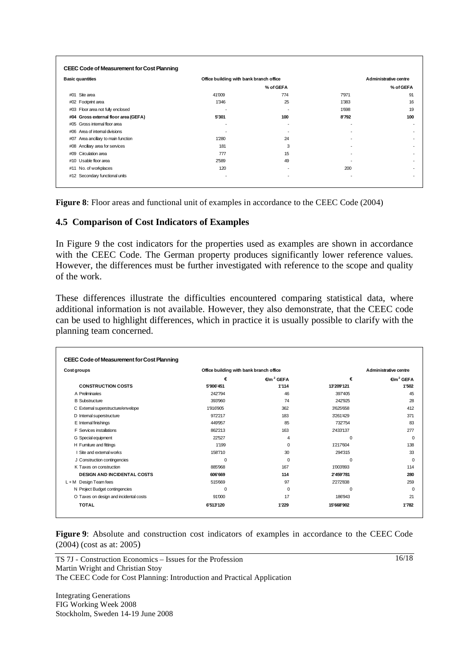| <b>Basic quantities</b>              |                          | Office building with bank branch office |                          | Administrative centre    |  |
|--------------------------------------|--------------------------|-----------------------------------------|--------------------------|--------------------------|--|
|                                      |                          | % of GEFA                               |                          | % of GEFA                |  |
| #01 Site area                        | 41'009                   | 774                                     | 7'971                    | 91                       |  |
| #02 Footprint area                   | 1'346                    | 25                                      | 1'383                    | 16                       |  |
| #03 Floor area not fully enclosed    | $\overline{\phantom{0}}$ | ٠                                       | 1'698                    | 19                       |  |
| #04 Gross external floor area (GEFA) | 5'301                    | 100                                     | 8'792                    | 100                      |  |
| #05 Gross internal floor area        | ٠                        | $\overline{\phantom{a}}$                | $\overline{a}$           | $\overline{\phantom{0}}$ |  |
| #06 Area of internal divisions       | $\overline{a}$           | $\overline{\phantom{a}}$                | $\overline{\phantom{a}}$ | ۰                        |  |
| #07 Area ancillary to main function  | 1'280                    | 24                                      | $\overline{a}$           | ۰                        |  |
| #08 Ancillary area for services      | 181                      | 3                                       | $\overline{a}$           |                          |  |
| #09 Circulation area                 | 777                      | 15                                      | ٠                        | ٠                        |  |
| #10 Usable floor area                | 2'589                    | 49                                      | $\overline{\phantom{a}}$ | $\overline{\phantom{0}}$ |  |
| #11 No. of workplaces                | 120                      | $\overline{\phantom{a}}$                | 200                      |                          |  |
| #12 Secondary functional units       | $\overline{\phantom{a}}$ | $\overline{\phantom{a}}$                | $\overline{\phantom{a}}$ |                          |  |

**Figure 8**: Floor areas and functional unit of examples in accordance to the CEEC Code (2004)

#### **4.5 Comparison of Cost Indicators of Examples**

In Figure 9 the cost indicators for the properties used as examples are shown in accordance with the CEEC Code. The German property produces significantly lower reference values. However, the differences must be further investigated with reference to the scope and quality of the work.

These differences illustrate the difficulties encountered comparing statistical data, where additional information is not available. However, they also demonstrate, that the CEEC code can be used to highlight differences, which in practice it is usually possible to clarify with the planning team concerned.

| Cost groups                            | Office building with bank branch office |                       | Administrative centre |                       |  |
|----------------------------------------|-----------------------------------------|-----------------------|-----------------------|-----------------------|--|
|                                        | €                                       | €/m <sup>2</sup> GEFA | €                     | €/m <sup>2</sup> GEFA |  |
| <b>CONSTRUCTION COSTS</b>              | 5'906'451                               | 1'114                 | 13'209'121            | 1'502                 |  |
| A Preliminaries                        | 242'794                                 | 46                    | 397'405               | 45                    |  |
| <b>B</b> Substructure                  | 393'960                                 | 74                    | 242'925               | 28                    |  |
| C External superstructure/envelope     | 1'916'905                               | 362                   | 3'625'658             | 412                   |  |
| D Internal superstructure              | 972'217                                 | 183                   | 3'261'429             | 371                   |  |
| E Internal finishings                  | 449'957                                 | 85                    | 732754                | 83                    |  |
| <b>F</b> Services installations        | 862'213                                 | 163                   | 2'433'137             | 277                   |  |
| G Special equipment                    | 22'527                                  | 4                     | $\Omega$              | $\Omega$              |  |
| H Furniture and fittings               | 1'199                                   | $\Omega$              | 1'217'604             | 138                   |  |
| I Site and external works              | 158'710                                 | 30                    | 294'315               | 33                    |  |
| J Construction contingencies           | $\Omega$                                | $\Omega$              | $\Omega$              | $\Omega$              |  |
| K Taxes on construction                | 885'968                                 | 167                   | 1'003'893             | 114                   |  |
| <b>DESIGN AND INCIDENTAL COSTS</b>     | 606'669                                 | 114                   | 2'459'781             | 280                   |  |
| L+M Design Team fees                   | 515'669                                 | 97                    | 2'272'838             | 259                   |  |
| N Project Budget contingencies         | $\Omega$                                | $\Omega$              | 0                     | $\Omega$              |  |
| O Taxes on design and incidental costs | 91'000                                  | 17                    | 186'943               | 21                    |  |
| <b>TOTAL</b>                           | 6'513'120                               | 1'229                 | 15'668'902            | 1'782                 |  |

**Figure 9**: Absolute and construction cost indicators of examples in accordance to the CEEC Code (2004) (cost as at: 2005)

TS 7J - Construction Economics – Issues for the Profession Martin Wright and Christian Stoy The CEEC Code for Cost Planning: Introduction and Practical Application

Integrating Generations FIG Working Week 2008 Stockholm, Sweden 14-19 June 2008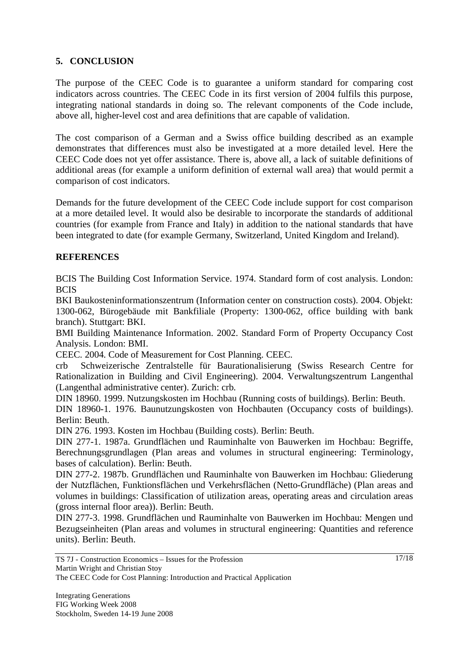## **5. CONCLUSION**

The purpose of the CEEC Code is to guarantee a uniform standard for comparing cost indicators across countries. The CEEC Code in its first version of 2004 fulfils this purpose, integrating national standards in doing so. The relevant components of the Code include, above all, higher-level cost and area definitions that are capable of validation.

The cost comparison of a German and a Swiss office building described as an example demonstrates that differences must also be investigated at a more detailed level. Here the CEEC Code does not yet offer assistance. There is, above all, a lack of suitable definitions of additional areas (for example a uniform definition of external wall area) that would permit a comparison of cost indicators.

Demands for the future development of the CEEC Code include support for cost comparison at a more detailed level. It would also be desirable to incorporate the standards of additional countries (for example from France and Italy) in addition to the national standards that have been integrated to date (for example Germany, Switzerland, United Kingdom and Ireland).

#### **REFERENCES**

BCIS The Building Cost Information Service. 1974. Standard form of cost analysis. London: **BCIS** 

BKI Baukosteninformationszentrum (Information center on construction costs). 2004. Objekt: 1300-062, Bürogebäude mit Bankfiliale (Property: 1300-062, office building with bank branch). Stuttgart: BKI.

BMI Building Maintenance Information. 2002. Standard Form of Property Occupancy Cost Analysis. London: BMI.

CEEC. 2004. Code of Measurement for Cost Planning. CEEC.

crb Schweizerische Zentralstelle für Baurationalisierung (Swiss Research Centre for Rationalization in Building and Civil Engineering). 2004. Verwaltungszentrum Langenthal (Langenthal administrative center). Zurich: crb.

DIN 18960. 1999. Nutzungskosten im Hochbau (Running costs of buildings). Berlin: Beuth.

DIN 18960-1. 1976. Baunutzungskosten von Hochbauten (Occupancy costs of buildings). Berlin: Beuth.

DIN 276. 1993. Kosten im Hochbau (Building costs). Berlin: Beuth.

DIN 277-1. 1987a. Grundflächen und Rauminhalte von Bauwerken im Hochbau: Begriffe, Berechnungsgrundlagen (Plan areas and volumes in structural engineering: Terminology, bases of calculation). Berlin: Beuth.

DIN 277-2. 1987b. Grundflächen und Rauminhalte von Bauwerken im Hochbau: Gliederung der Nutzflächen, Funktionsflächen und Verkehrsflächen (Netto-Grundfläche) (Plan areas and volumes in buildings: Classification of utilization areas, operating areas and circulation areas (gross internal floor area)). Berlin: Beuth.

DIN 277-3. 1998. Grundflächen und Rauminhalte von Bauwerken im Hochbau: Mengen und Bezugseinheiten (Plan areas and volumes in structural engineering: Quantities and reference units). Berlin: Beuth.